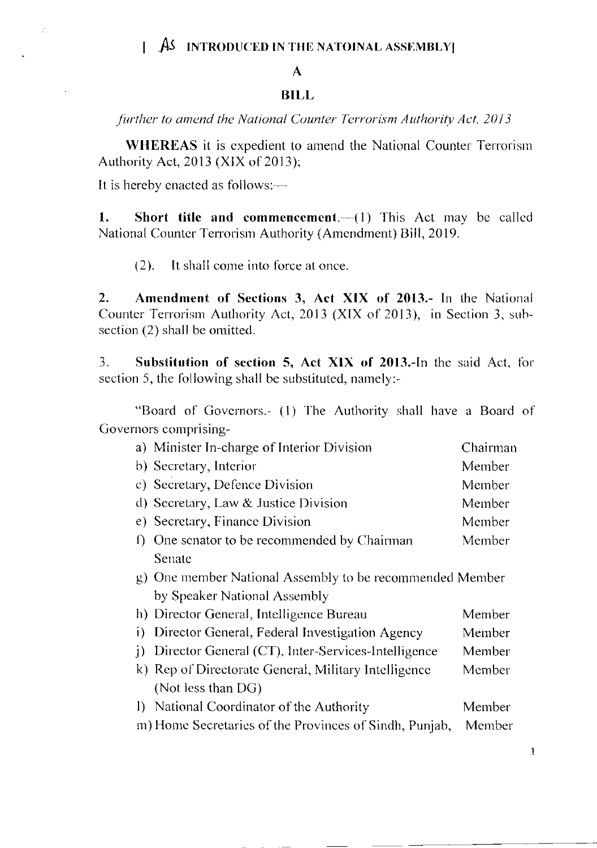## $\mathbf{A}$

## **BILL**

further to amend the National Counter Terrorism Authority Act, 2013

**WHEREAS** it is expedient to amend the National Counter Terrorism Authority Act, 2013 (XIX of 2013);

It is hereby enacted as follows:-

Ź

 $1.$ Short title and commencement. $-(1)$  This Act may be called National Counter Terrorism Authority (Amendment) Bill, 2019.

It shall come into force at once.  $(2).$ 

 $2.$ Amendment of Sections 3, Act XIX of 2013.- In the National Counter Terrorism Authority Act, 2013 (XIX of 2013), in Section 3, subsection (2) shall be omitted.

 $\overline{3}$ . Substitution of section 5, Act XIX of 2013.-In the said Act, for section 5, the following shall be substituted, namely:-

"Board of Governors.- (1) The Authority shall have a Board of Governors comprising-

| a) Minister In-charge of Interior Division                         | Chairman |
|--------------------------------------------------------------------|----------|
| b) Secretary, Interior                                             | Member   |
| c) Secretary, Defence Division                                     | Member   |
| d) Secretary, Law & Justice Division                               | Member   |
| e) Secretary, Finance Division                                     | Member   |
| One senator to be recommended by Chairman                          | Member   |
| Senate                                                             |          |
| g) One member National Assembly to be recommended Member           |          |
| by Speaker National Assembly                                       |          |
| h) Director General, Intelligence Bureau                           | Member   |
| Director General, Federal Investigation Agency<br>i)               | Member   |
| Director General (CT), Inter-Services-Intelligence<br><sup>1</sup> | Member   |
| k) Rep of Directorate General, Military Intelligence               | Member   |
| (Not less than DG)                                                 |          |
| National Coordinator of the Authority                              | Member   |
| m) Home Secretaries of the Provinces of Sindh, Punjab,             | Member   |
|                                                                    |          |

 $\mathbf{1}$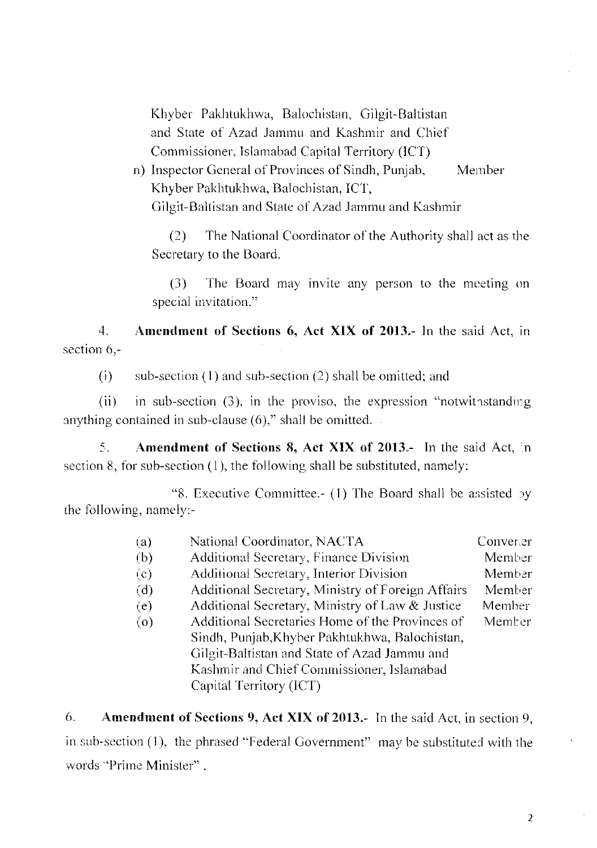Khyber Pakhtukhwa, Balochistan, Gilgit-Baltistan and State of Azad Jammu and Kashmir and Chief Commissioner, Islamabad Capital Territory (ICT)

n) Inspector General of Provinces of Sindh, Punjab, Member Khyber Pakhtukhwa, Balochistan, ICT, Gilgit-Baltistan and State of Azad Jammu and Kashmir

The National Coordinator of the Authority shall act as the  $(2)$ Secretary to the Board.

 $(3)$ The Board may invite any person to the meeting on special invitation."

Amendment of Sections 6, Act XIX of 2013.- In the said Act, in  $\overline{4}$ section 6.-

 $(i)$ sub-section  $(1)$  and sub-section  $(2)$  shall be omitted; and

 $(ii)$ in sub-section (3), in the proviso, the expression "notwithstanding anything contained in sub-clause  $(6)$ ," shall be omitted.

5. Amendment of Sections 8, Act XIX of 2013.- In the said Act, in section 8, for sub-section  $(1)$ , the following shall be substituted, namely:

"8. Executive Committee.- (1) The Board shall be assisted by the following, namely:-

| (a)       | National Coordinator, NACTA                       | Converter |
|-----------|---------------------------------------------------|-----------|
| (b)       | Additional Secretary, Finance Division            | Member    |
| $\rm (c)$ | Additional Secretary, Interior Division           | Member    |
| (d)       | Additional Secretary, Ministry of Foreign Affairs | Member    |
| (e)       | Additional Secretary, Ministry of Law & Justice   | Member    |
| (0)       | Additional Secretaries Home of the Provinces of   | Member    |
|           | Sindh, Punjab, Khyber Pakhtukhwa, Balochistan,    |           |
|           | Gilgit-Baltistan and State of Azad Jammu and      |           |
|           | Kashmir and Chief Commissioner, Islamabad         |           |
|           | Capital Territory (ICT)                           |           |
|           |                                                   |           |

Amendment of Sections 9, Act XIX of 2013.- In the said Act, in section 9, 6. in sub-section (1), the phrased "Federal Government" may be substituted with the words "Prime Minister".